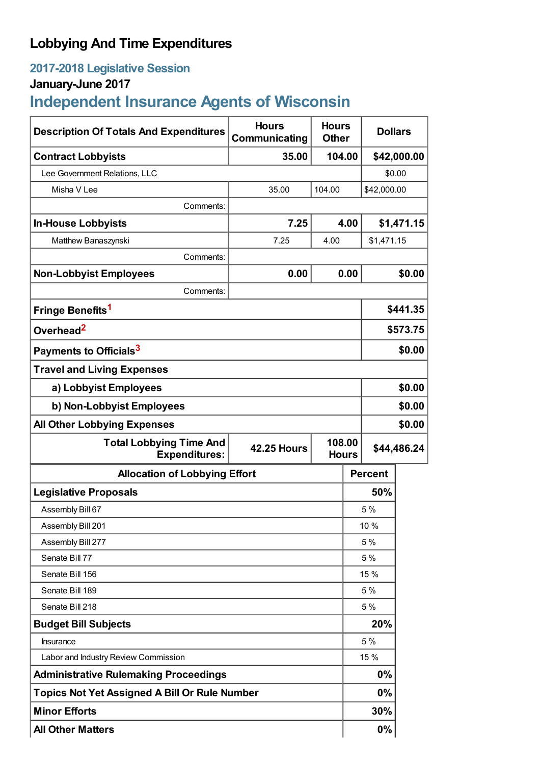## **Lobbying And Time Expenditures**

## **2017-2018 Legislative Session**

## **January-June 2017**

# **Independent Insurance Agents of Wisconsin**

| <b>Description Of Totals And Expenditures</b>          | <b>Hours</b><br>Communicating                | <b>Hours</b><br><b>Dollars</b><br><b>Other</b> |            |                |        |  |
|--------------------------------------------------------|----------------------------------------------|------------------------------------------------|------------|----------------|--------|--|
| <b>Contract Lobbyists</b>                              | 35.00<br>104.00                              |                                                |            | \$42,000.00    |        |  |
| Lee Government Relations, LLC                          |                                              |                                                |            | \$0.00         |        |  |
| Misha V Lee                                            | 35.00                                        | 104.00                                         |            | \$42,000.00    |        |  |
| Comments:                                              |                                              |                                                |            |                |        |  |
| <b>In-House Lobbyists</b>                              | 7.25                                         |                                                | 4.00       | \$1,471.15     |        |  |
| Matthew Banaszynski                                    | 7.25                                         | 4.00                                           | \$1,471.15 |                |        |  |
| Comments:                                              |                                              |                                                |            |                |        |  |
| <b>Non-Lobbyist Employees</b>                          | 0.00                                         |                                                | 0.00       |                | \$0.00 |  |
| Comments:                                              |                                              |                                                |            |                |        |  |
| Fringe Benefits <sup>1</sup>                           |                                              |                                                |            | \$441.35       |        |  |
| Overhead <sup>2</sup>                                  |                                              |                                                |            | \$573.75       |        |  |
| Payments to Officials <sup>3</sup>                     |                                              |                                                |            | \$0.00         |        |  |
| <b>Travel and Living Expenses</b>                      |                                              |                                                |            |                |        |  |
| a) Lobbyist Employees                                  |                                              |                                                |            | \$0.00         |        |  |
| b) Non-Lobbyist Employees                              |                                              |                                                |            | \$0.00         |        |  |
| <b>All Other Lobbying Expenses</b>                     |                                              |                                                |            |                | \$0.00 |  |
| <b>Total Lobbying Time And</b><br><b>Expenditures:</b> | 108.00<br><b>42.25 Hours</b><br><b>Hours</b> |                                                |            | \$44,486.24    |        |  |
| <b>Allocation of Lobbying Effort</b>                   |                                              |                                                |            | <b>Percent</b> |        |  |
| <b>Legislative Proposals</b>                           |                                              |                                                |            | 50%            |        |  |
| Assembly Bill 67                                       |                                              |                                                |            | 5%             |        |  |
| Assembly Bill 201                                      |                                              |                                                |            | 10 %           |        |  |
| Assembly Bill 277                                      |                                              |                                                | 5 %        |                |        |  |
| Senate Bill 77                                         |                                              |                                                | 5 %        |                |        |  |
| Senate Bill 156                                        |                                              |                                                |            | 15 %           |        |  |
| Senate Bill 189                                        |                                              |                                                | 5 %        |                |        |  |
| Senate Bill 218                                        |                                              |                                                |            | 5 %            |        |  |
| <b>Budget Bill Subjects</b>                            |                                              |                                                |            | 20%            |        |  |
| Insurance                                              |                                              |                                                |            | 5 %            |        |  |
| Labor and Industry Review Commission                   |                                              |                                                |            | 15 %           |        |  |
| <b>Administrative Rulemaking Proceedings</b>           |                                              |                                                | 0%         |                |        |  |
| <b>Topics Not Yet Assigned A Bill Or Rule Number</b>   |                                              |                                                |            | 0%             |        |  |
| <b>Minor Efforts</b>                                   |                                              |                                                |            | 30%            |        |  |
| <b>All Other Matters</b>                               |                                              |                                                |            | $0\%$          |        |  |